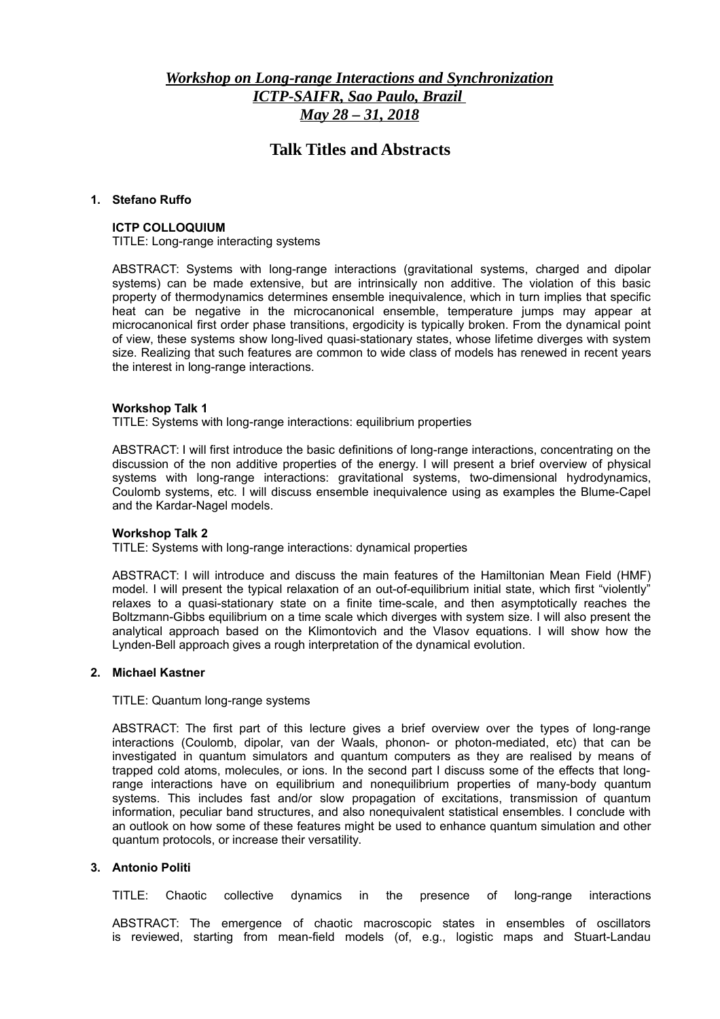# *Workshop on Long-range Interactions and Synchronization ICTP-SAIFR, Sao Paulo, Brazil May 28 – 31, 2018*

# **Talk Titles and Abstracts**

### **1. Stefano Ruffo**

### **ICTP COLLOQUIUM**

TITLE: Long-range interacting systems

ABSTRACT: Systems with long-range interactions (gravitational systems, charged and dipolar systems) can be made extensive, but are intrinsically non additive. The violation of this basic property of thermodynamics determines ensemble inequivalence, which in turn implies that specific heat can be negative in the microcanonical ensemble, temperature jumps may appear at microcanonical first order phase transitions, ergodicity is typically broken. From the dynamical point of view, these systems show long-lived quasi-stationary states, whose lifetime diverges with system size. Realizing that such features are common to wide class of models has renewed in recent years the interest in long-range interactions.

### **Workshop Talk 1**

TITLE: Systems with long-range interactions: equilibrium properties

ABSTRACT: I will first introduce the basic definitions of long-range interactions, concentrating on the discussion of the non additive properties of the energy. I will present a brief overview of physical systems with long-range interactions: gravitational systems, two-dimensional hydrodynamics, Coulomb systems, etc. I will discuss ensemble inequivalence using as examples the Blume-Capel and the Kardar-Nagel models.

### **Workshop Talk 2**

TITLE: Systems with long-range interactions: dynamical properties

ABSTRACT: I will introduce and discuss the main features of the Hamiltonian Mean Field (HMF) model. I will present the typical relaxation of an out-of-equilibrium initial state, which first "violently" relaxes to a quasi-stationary state on a finite time-scale, and then asymptotically reaches the Boltzmann-Gibbs equilibrium on a time scale which diverges with system size. I will also present the analytical approach based on the Klimontovich and the Vlasov equations. I will show how the Lynden-Bell approach gives a rough interpretation of the dynamical evolution.

### **2. Michael Kastner**

TITLE: Quantum long-range systems

ABSTRACT: The first part of this lecture gives a brief overview over the types of long-range interactions (Coulomb, dipolar, van der Waals, phonon- or photon-mediated, etc) that can be investigated in quantum simulators and quantum computers as they are realised by means of trapped cold atoms, molecules, or ions. In the second part I discuss some of the effects that longrange interactions have on equilibrium and nonequilibrium properties of many-body quantum systems. This includes fast and/or slow propagation of excitations, transmission of quantum information, peculiar band structures, and also nonequivalent statistical ensembles. I conclude with an outlook on how some of these features might be used to enhance quantum simulation and other quantum protocols, or increase their versatility.

### **3. Antonio Politi**

TITLE: Chaotic collective dynamics in the presence of long-range interactions

ABSTRACT: The emergence of chaotic macroscopic states in ensembles of oscillators is reviewed, starting from mean-field models (of, e.g., logistic maps and Stuart-Landau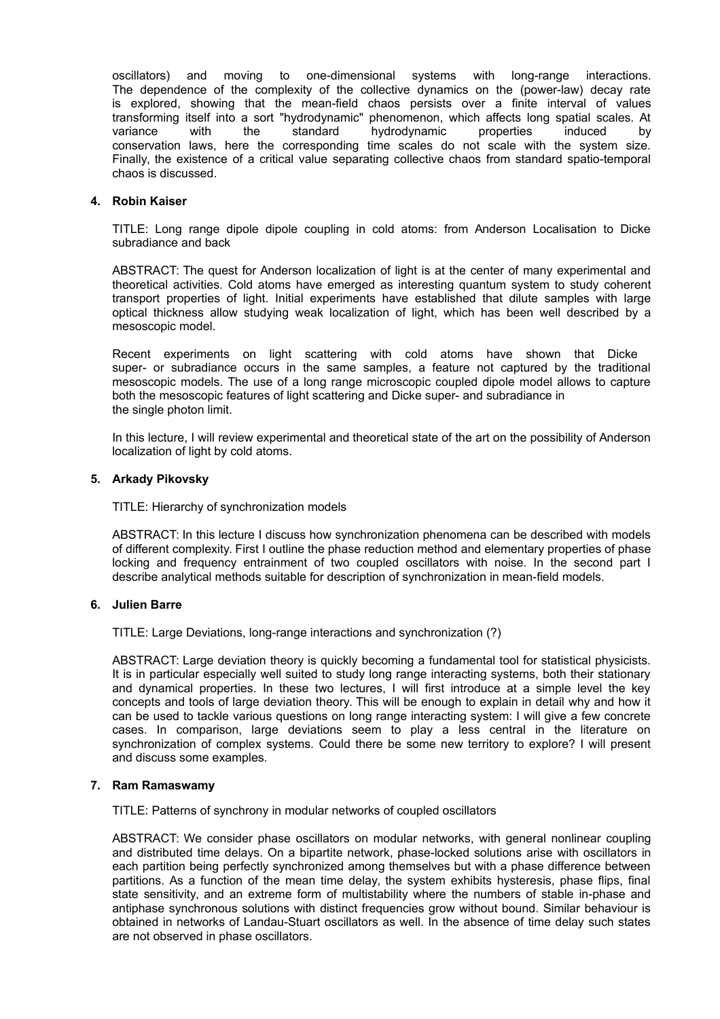oscillators) and moving to one-dimensional systems with long-range interactions. The dependence of the complexity of the collective dynamics on the (power-law) decay rate is explored, showing that the mean-field chaos persists over a finite interval of values transforming itself into a sort "hydrodynamic" phenomenon, which affects long spatial scales. At variance with the standard hydrodynamic properties induced by conservation laws, here the corresponding time scales do not scale with the system size. Finally, the existence of a critical value separating collective chaos from standard spatio-temporal chaos is discussed.

### **4. Robin Kaiser**

TITLE: Long range dipole dipole coupling in cold atoms: from Anderson Localisation to Dicke subradiance and back

ABSTRACT: The quest for Anderson localization of light is at the center of many experimental and theoretical activities. Cold atoms have emerged as interesting quantum system to study coherent transport properties of light. Initial experiments have established that dilute samples with large optical thickness allow studying weak localization of light, which has been well described by a mesoscopic model.

Recent experiments on light scattering with cold atoms have shown that Dicke super- or subradiance occurs in the same samples, a feature not captured by the traditional mesoscopic models. The use of a long range microscopic coupled dipole model allows to capture both the mesoscopic features of light scattering and Dicke super- and subradiance in the single photon limit.

In this lecture, I will review experimental and theoretical state of the art on the possibility of Anderson localization of light by cold atoms.

### **5. Arkady Pikovsky**

TITLE: Hierarchy of synchronization models

ABSTRACT: In this lecture I discuss how synchronization phenomena can be described with models of different complexity. First I outline the phase reduction method and elementary properties of phase locking and frequency entrainment of two coupled oscillators with noise. In the second part I describe analytical methods suitable for description of synchronization in mean-field models.

### **6. Julien Barre**

TITLE: Large Deviations, long-range interactions and synchronization (?)

ABSTRACT: Large deviation theory is quickly becoming a fundamental tool for statistical physicists. It is in particular especially well suited to study long range interacting systems, both their stationary and dynamical properties. In these two lectures, I will first introduce at a simple level the key concepts and tools of large deviation theory. This will be enough to explain in detail why and how it can be used to tackle various questions on long range interacting system: I will give a few concrete cases. In comparison, large deviations seem to play a less central in the literature on synchronization of complex systems. Could there be some new territory to explore? I will present and discuss some examples.

### **7. Ram Ramaswamy**

TITLE: Patterns of synchrony in modular networks of coupled oscillators

ABSTRACT: We consider phase oscillators on modular networks, with general nonlinear coupling and distributed time delays. On a bipartite network, phase-locked solutions arise with oscillators in each partition being perfectly synchronized among themselves but with a phase difference between partitions. As a function of the mean time delay, the system exhibits hysteresis, phase flips, final state sensitivity, and an extreme form of multistability where the numbers of stable in-phase and antiphase synchronous solutions with distinct frequencies grow without bound. Similar behaviour is obtained in networks of Landau-Stuart oscillators as well. In the absence of time delay such states are not observed in phase oscillators.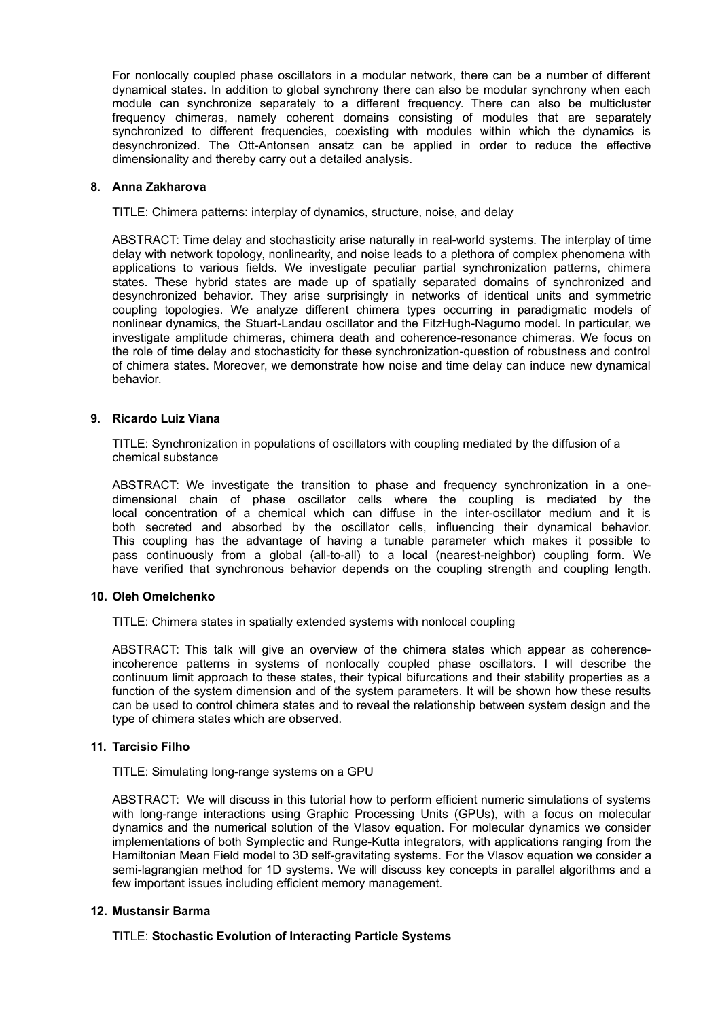For nonlocally coupled phase oscillators in a modular network, there can be a number of different dynamical states. In addition to global synchrony there can also be modular synchrony when each module can synchronize separately to a different frequency. There can also be multicluster frequency chimeras, namely coherent domains consisting of modules that are separately synchronized to different frequencies, coexisting with modules within which the dynamics is desynchronized. The Ott-Antonsen ansatz can be applied in order to reduce the effective dimensionality and thereby carry out a detailed analysis.

### **8. Anna Zakharova**

TITLE: Chimera patterns: interplay of dynamics, structure, noise, and delay

ABSTRACT: Time delay and stochasticity arise naturally in real-world systems. The interplay of time delay with network topology, nonlinearity, and noise leads to a plethora of complex phenomena with applications to various fields. We investigate peculiar partial synchronization patterns, chimera states. These hybrid states are made up of spatially separated domains of synchronized and desynchronized behavior. They arise surprisingly in networks of identical units and symmetric coupling topologies. We analyze different chimera types occurring in paradigmatic models of nonlinear dynamics, the Stuart-Landau oscillator and the FitzHugh-Nagumo model. In particular, we investigate amplitude chimeras, chimera death and coherence-resonance chimeras. We focus on the role of time delay and stochasticity for these synchronization-question of robustness and control of chimera states. Moreover, we demonstrate how noise and time delay can induce new dynamical behavior.

### **9. Ricardo Luiz Viana**

TITLE: Synchronization in populations of oscillators with coupling mediated by the diffusion of a chemical substance

ABSTRACT: We investigate the transition to phase and frequency synchronization in a onedimensional chain of phase oscillator cells where the coupling is mediated by the local concentration of a chemical which can diffuse in the inter-oscillator medium and it is both secreted and absorbed by the oscillator cells, influencing their dynamical behavior. This coupling has the advantage of having a tunable parameter which makes it possible to pass continuously from a global (all-to-all) to a local (nearest-neighbor) coupling form. We have verified that synchronous behavior depends on the coupling strength and coupling length.

### **10. Oleh Omelchenko**

TITLE: Chimera states in spatially extended systems with nonlocal coupling

ABSTRACT: This talk will give an overview of the chimera states which appear as coherenceincoherence patterns in systems of nonlocally coupled phase oscillators. I will describe the continuum limit approach to these states, their typical bifurcations and their stability properties as a function of the system dimension and of the system parameters. It will be shown how these results can be used to control chimera states and to reveal the relationship between system design and the type of chimera states which are observed.

### **11. Tarcisio Filho**

TITLE: Simulating long-range systems on a GPU

ABSTRACT: We will discuss in this tutorial how to perform efficient numeric simulations of systems with long-range interactions using Graphic Processing Units (GPUs), with a focus on molecular dynamics and the numerical solution of the Vlasov equation. For molecular dynamics we consider implementations of both Symplectic and Runge-Kutta integrators, with applications ranging from the Hamiltonian Mean Field model to 3D self-gravitating systems. For the Vlasov equation we consider a semi-lagrangian method for 1D systems. We will discuss key concepts in parallel algorithms and a few important issues including efficient memory management.

### **12. Mustansir Barma**

### TITLE: **Stochastic Evolution of Interacting Particle Systems**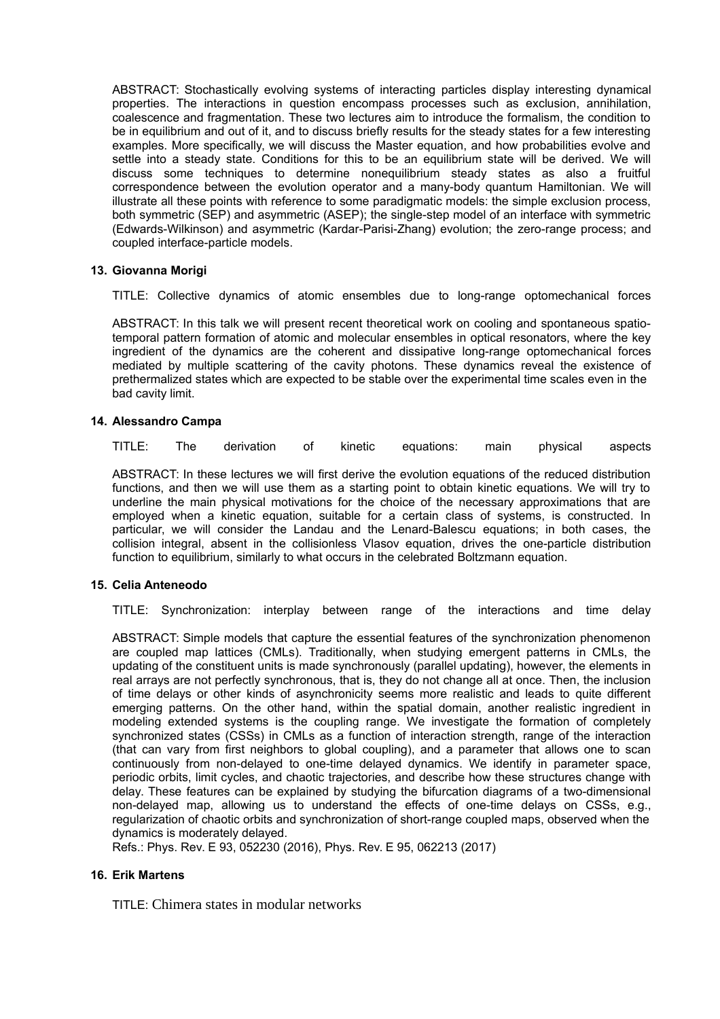ABSTRACT: Stochastically evolving systems of interacting particles display interesting dynamical properties. The interactions in question encompass processes such as exclusion, annihilation, coalescence and fragmentation. These two lectures aim to introduce the formalism, the condition to be in equilibrium and out of it, and to discuss briefly results for the steady states for a few interesting examples. More specifically, we will discuss the Master equation, and how probabilities evolve and settle into a steady state. Conditions for this to be an equilibrium state will be derived. We will discuss some techniques to determine nonequilibrium steady states as also a fruitful correspondence between the evolution operator and a many-body quantum Hamiltonian. We will illustrate all these points with reference to some paradigmatic models: the simple exclusion process, both symmetric (SEP) and asymmetric (ASEP); the single-step model of an interface with symmetric (Edwards-Wilkinson) and asymmetric (Kardar-Parisi-Zhang) evolution; the zero-range process; and coupled interface-particle models.

### **13. Giovanna Morigi**

TITLE: Collective dynamics of atomic ensembles due to long-range optomechanical forces

ABSTRACT: In this talk we will present recent theoretical work on cooling and spontaneous spatiotemporal pattern formation of atomic and molecular ensembles in optical resonators, where the key ingredient of the dynamics are the coherent and dissipative long-range optomechanical forces mediated by multiple scattering of the cavity photons. These dynamics reveal the existence of prethermalized states which are expected to be stable over the experimental time scales even in the bad cavity limit.

### **14. Alessandro Campa**

TITLE: The derivation of kinetic equations: main physical aspects

ABSTRACT: In these lectures we will first derive the evolution equations of the reduced distribution functions, and then we will use them as a starting point to obtain kinetic equations. We will try to underline the main physical motivations for the choice of the necessary approximations that are employed when a kinetic equation, suitable for a certain class of systems, is constructed. In particular, we will consider the Landau and the Lenard-Balescu equations; in both cases, the collision integral, absent in the collisionless Vlasov equation, drives the one-particle distribution function to equilibrium, similarly to what occurs in the celebrated Boltzmann equation.

### **15. Celia Anteneodo**

TITLE: Synchronization: interplay between range of the interactions and time delay

ABSTRACT: Simple models that capture the essential features of the synchronization phenomenon are coupled map lattices (CMLs). Traditionally, when studying emergent patterns in CMLs, the updating of the constituent units is made synchronously (parallel updating), however, the elements in real arrays are not perfectly synchronous, that is, they do not change all at once. Then, the inclusion of time delays or other kinds of asynchronicity seems more realistic and leads to quite different emerging patterns. On the other hand, within the spatial domain, another realistic ingredient in modeling extended systems is the coupling range. We investigate the formation of completely synchronized states (CSSs) in CMLs as a function of interaction strength, range of the interaction (that can vary from first neighbors to global coupling), and a parameter that allows one to scan continuously from non-delayed to one-time delayed dynamics. We identify in parameter space, periodic orbits, limit cycles, and chaotic trajectories, and describe how these structures change with delay. These features can be explained by studying the bifurcation diagrams of a two-dimensional non-delayed map, allowing us to understand the effects of one-time delays on CSSs, e.g., regularization of chaotic orbits and synchronization of short-range coupled maps, observed when the dynamics is moderately delayed.

Refs.: Phys. Rev. E 93, 052230 (2016), Phys. Rev. E 95, 062213 (2017)

### **16. Erik Martens**

TITLE: Chimera states in modular networks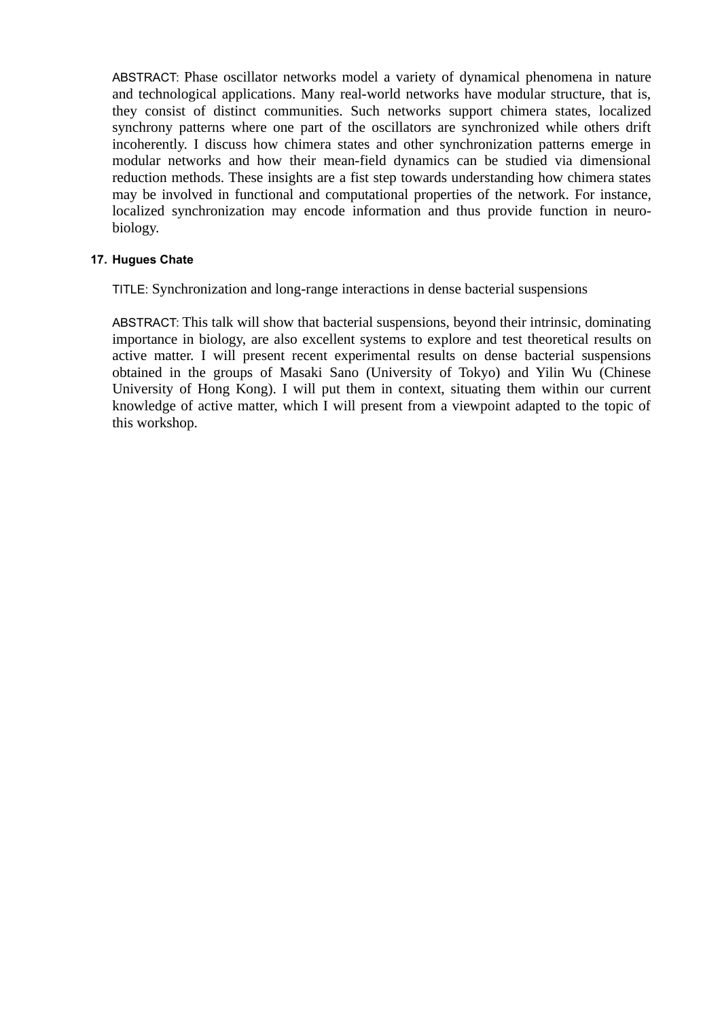ABSTRACT: Phase oscillator networks model a variety of dynamical phenomena in nature and technological applications. Many real-world networks have modular structure, that is, they consist of distinct communities. Such networks support chimera states, localized synchrony patterns where one part of the oscillators are synchronized while others drift incoherently. I discuss how chimera states and other synchronization patterns emerge in modular networks and how their mean-field dynamics can be studied via dimensional reduction methods. These insights are a fist step towards understanding how chimera states may be involved in functional and computational properties of the network. For instance, localized synchronization may encode information and thus provide function in neurobiology.

# **17. Hugues Chate**

TITLE: Synchronization and long-range interactions in dense bacterial suspensions

ABSTRACT: This talk will show that bacterial suspensions, beyond their intrinsic, dominating importance in biology, are also excellent systems to explore and test theoretical results on active matter. I will present recent experimental results on dense bacterial suspensions obtained in the groups of Masaki Sano (University of Tokyo) and Yilin Wu (Chinese University of Hong Kong). I will put them in context, situating them within our current knowledge of active matter, which I will present from a viewpoint adapted to the topic of this workshop.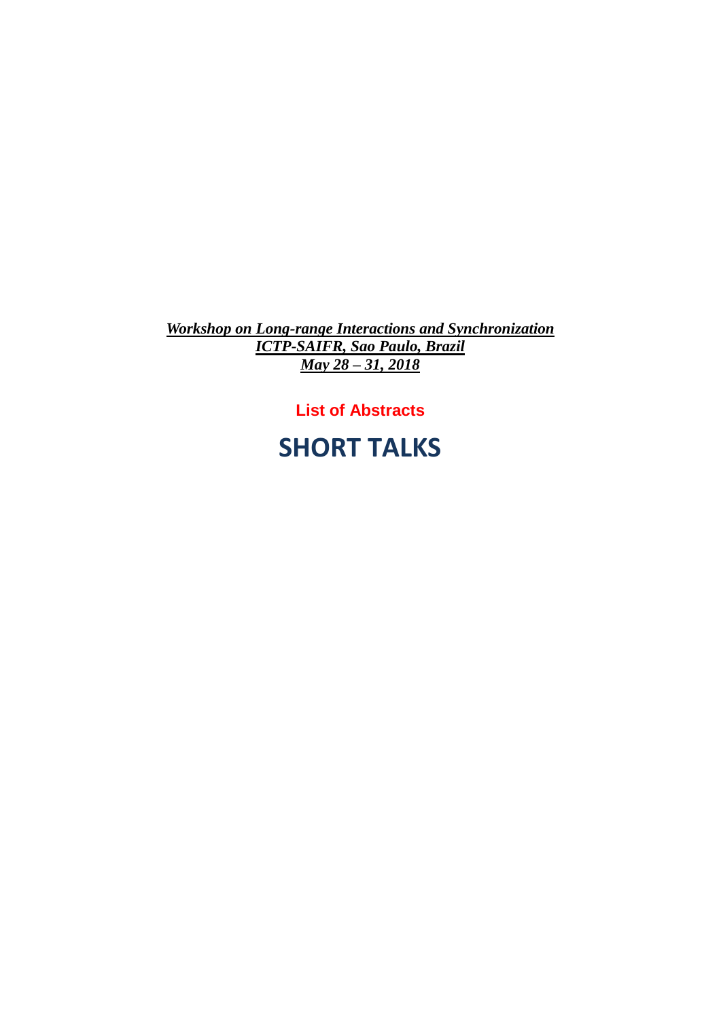*Workshop on Long-range Interactions and Synchronization ICTP-SAIFR, Sao Paulo, Brazil May 28 – 31, 2018*

# **List of Abstracts**

# **SHORT TALKS**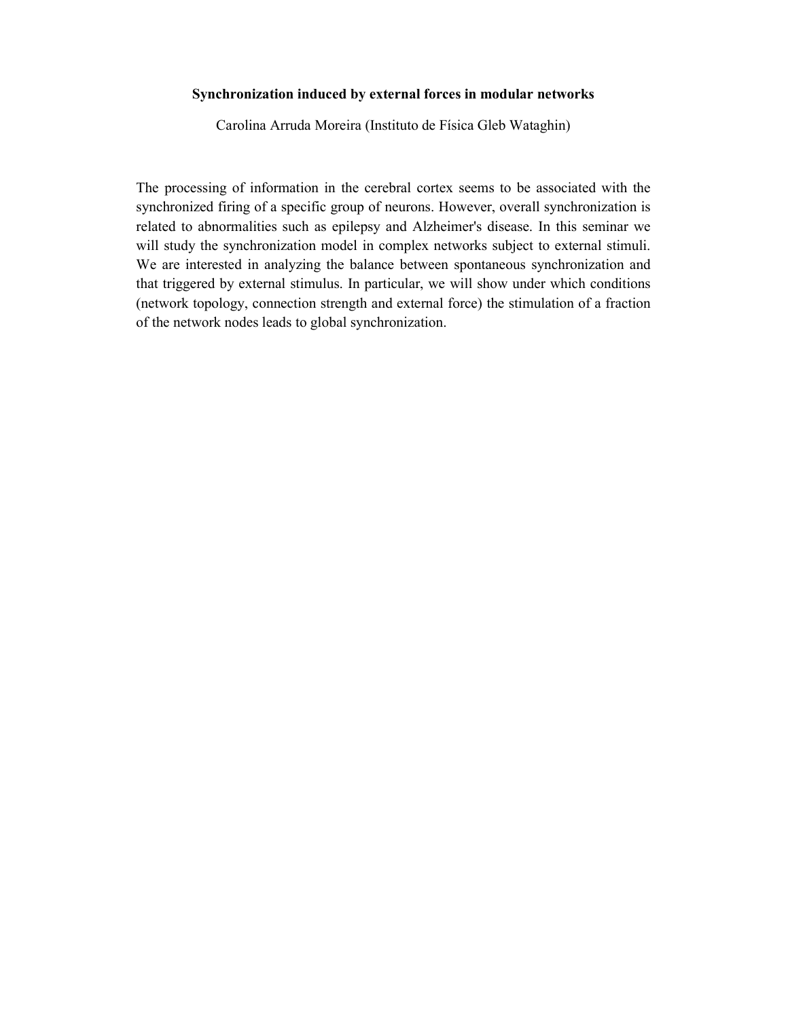### Synchronization induced by external forces in modular networks

Carolina Arruda Moreira (Instituto de Física Gleb Wataghin)

The processing of information in the cerebral cortex seems to be associated with the synchronized firing of a specific group of neurons. However, overall synchronization is related to abnormalities such as epilepsy and Alzheimer's disease. In this seminar we will study the synchronization model in complex networks subject to external stimuli. We are interested in analyzing the balance between spontaneous synchronization and that triggered by external stimulus. In particular, we will show under which conditions (network topology, connection strength and external force) the stimulation of a fraction of the network nodes leads to global synchronization.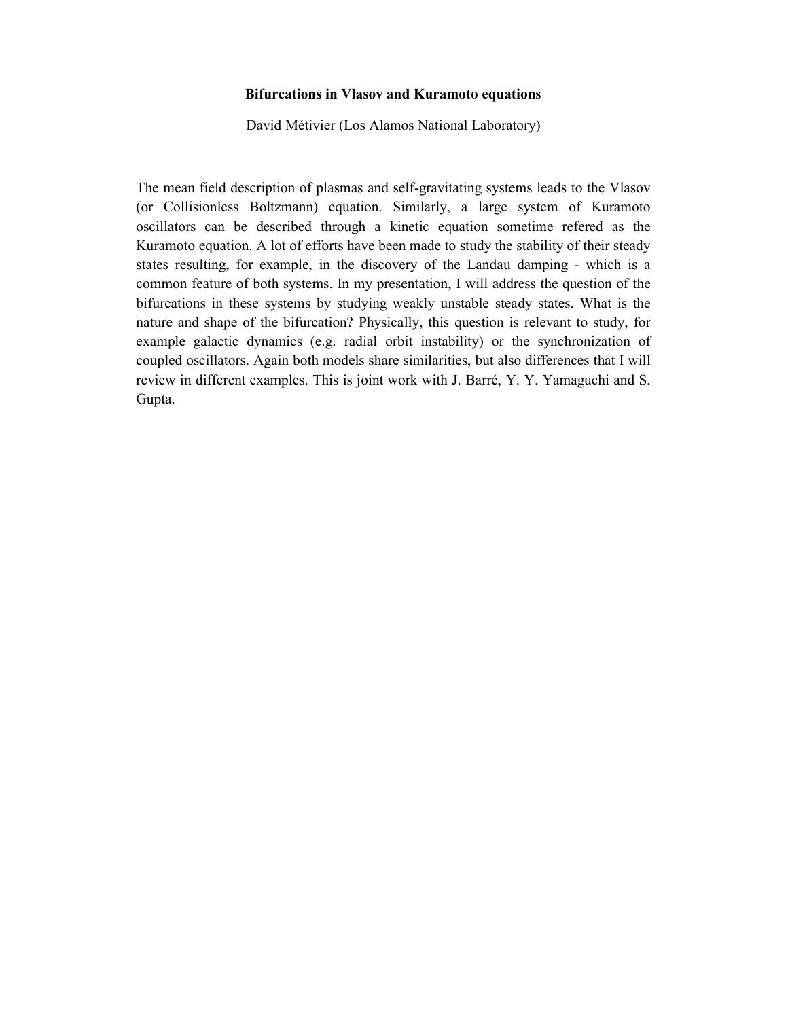### Bifurcations in Vlasov and Kuramoto equations

David Métivier (Los Alamos National Laboratory)

The mean field description of plasmas and self-gravitating systems leads to the Vlasov (or Collisionless Boltzmann) equation. Similarly, a large system of Kuramoto oscillators can be described through a kinetic equation sometime refered as the Kuramoto equation. A lot of efforts have been made to study the stability of their steady states resulting, for example, in the discovery of the Landau damping - which is a common feature of both systems. In my presentation, I will address the question of the bifurcations in these systems by studying weakly unstable steady states. What is the nature and shape of the bifurcation? Physically, this question is relevant to study, for example galactic dynamics (e.g. radial orbit instability) or the synchronization of coupled oscillators. Again both models share similarities, but also differences that I will review in different examples. This is joint work with J. Barré, Y. Y. Yamaguchi and S. Gupta.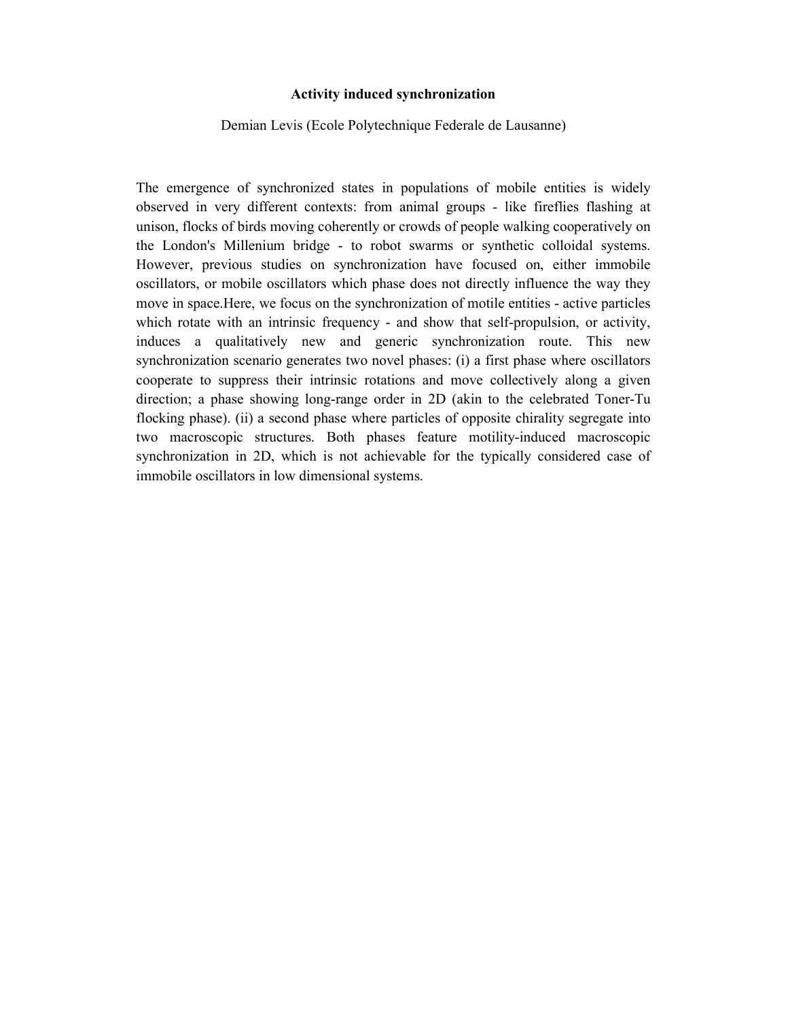### Activity induced synchronization

Demian Levis (Ecole Polytechnique Federale de Lausanne)

The emergence of synchronized states in populations of mobile entities is widely observed in very different contexts: from animal groups - like fireflies flashing at unison, flocks of birds moving coherently or crowds of people walking cooperatively on the London's Millenium bridge - to robot swarms or synthetic colloidal systems. However, previous studies on synchronization have focused on, either immobile oscillators, or mobile oscillators which phase does not directly influence the way they move in space.Here, we focus on the synchronization of motile entities - active particles which rotate with an intrinsic frequency - and show that self-propulsion, or activity, induces a qualitatively new and generic synchronization route. This new synchronization scenario generates two novel phases: (i) a first phase where oscillators cooperate to suppress their intrinsic rotations and move collectively along a given direction; a phase showing long-range order in 2D (akin to the celebrated Toner-Tu flocking phase). (ii) a second phase where particles of opposite chirality segregate into two macroscopic structures. Both phases feature motility-induced macroscopic synchronization in 2D, which is not achievable for the typically considered case of immobile oscillators in low dimensional systems.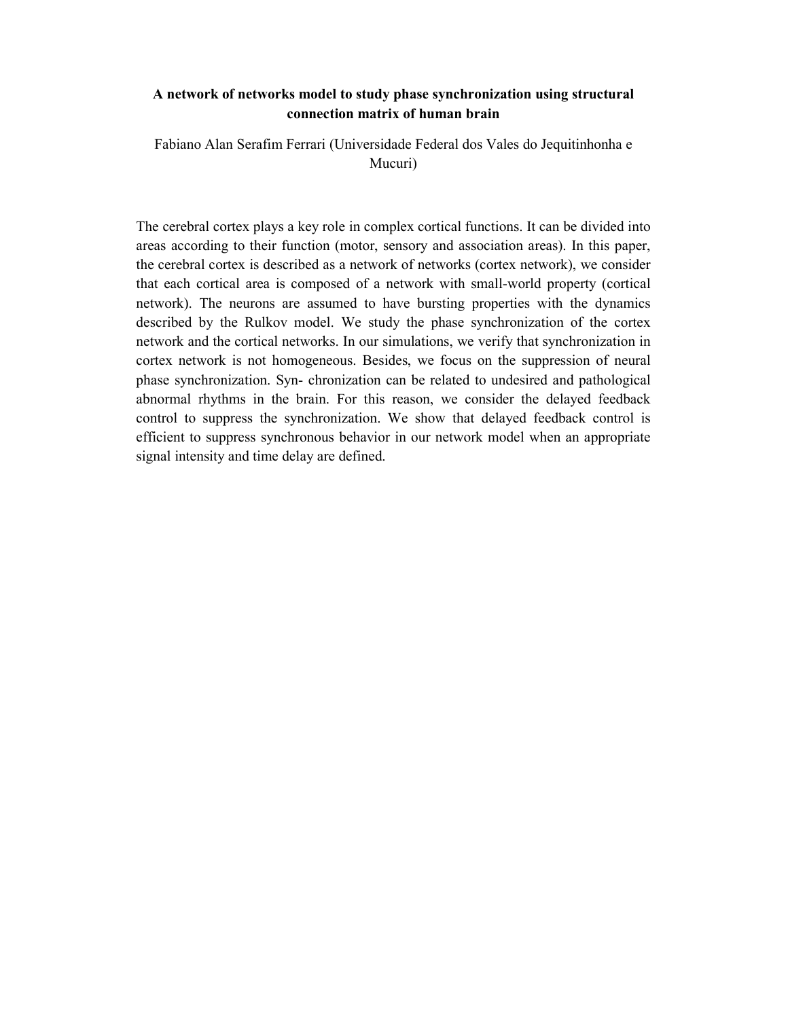### A network of networks model to study phase synchronization using structural connection matrix of human brain

Fabiano Alan Serafim Ferrari (Universidade Federal dos Vales do Jequitinhonha e Mucuri)

The cerebral cortex plays a key role in complex cortical functions. It can be divided into areas according to their function (motor, sensory and association areas). In this paper, the cerebral cortex is described as a network of networks (cortex network), we consider that each cortical area is composed of a network with small-world property (cortical network). The neurons are assumed to have bursting properties with the dynamics described by the Rulkov model. We study the phase synchronization of the cortex network and the cortical networks. In our simulations, we verify that synchronization in cortex network is not homogeneous. Besides, we focus on the suppression of neural phase synchronization. Syn- chronization can be related to undesired and pathological abnormal rhythms in the brain. For this reason, we consider the delayed feedback control to suppress the synchronization. We show that delayed feedback control is efficient to suppress synchronous behavior in our network model when an appropriate signal intensity and time delay are defined.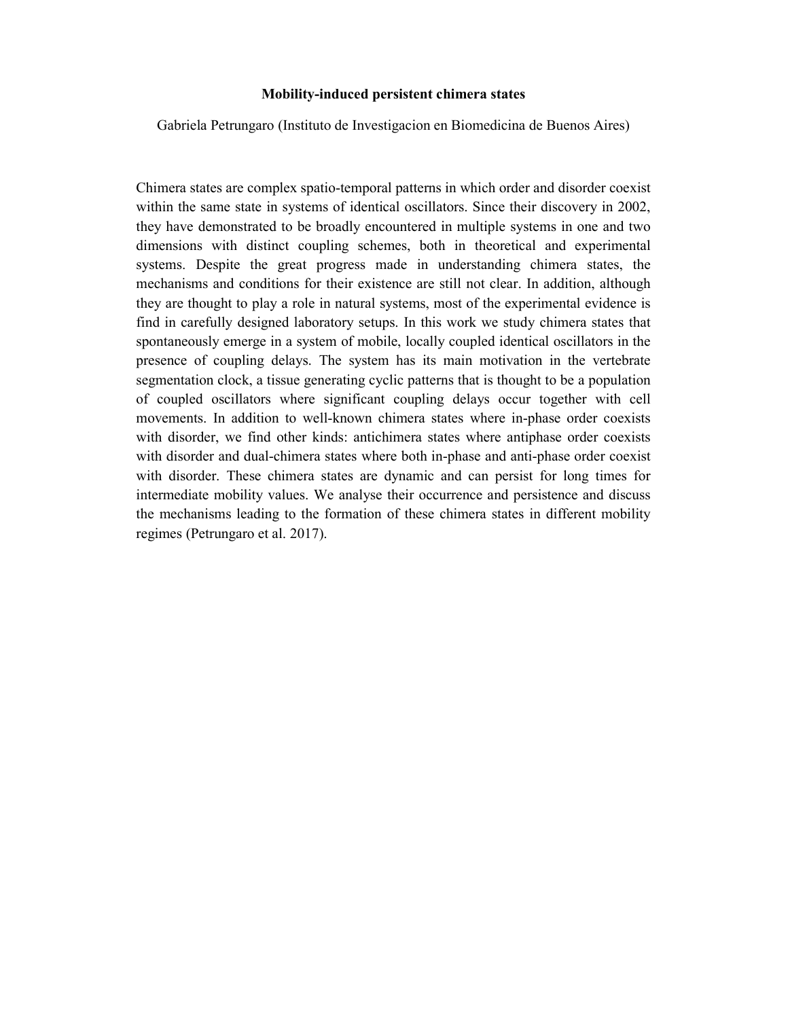### Mobility-induced persistent chimera states

Gabriela Petrungaro (Instituto de Investigacion en Biomedicina de Buenos Aires)

Chimera states are complex spatio-temporal patterns in which order and disorder coexist within the same state in systems of identical oscillators. Since their discovery in 2002, they have demonstrated to be broadly encountered in multiple systems in one and two dimensions with distinct coupling schemes, both in theoretical and experimental systems. Despite the great progress made in understanding chimera states, the mechanisms and conditions for their existence are still not clear. In addition, although they are thought to play a role in natural systems, most of the experimental evidence is find in carefully designed laboratory setups. In this work we study chimera states that spontaneously emerge in a system of mobile, locally coupled identical oscillators in the presence of coupling delays. The system has its main motivation in the vertebrate segmentation clock, a tissue generating cyclic patterns that is thought to be a population of coupled oscillators where significant coupling delays occur together with cell movements. In addition to well-known chimera states where in-phase order coexists with disorder, we find other kinds: antichimera states where antiphase order coexists with disorder and dual-chimera states where both in-phase and anti-phase order coexist with disorder. These chimera states are dynamic and can persist for long times for intermediate mobility values. We analyse their occurrence and persistence and discuss the mechanisms leading to the formation of these chimera states in different mobility regimes (Petrungaro et al. 2017).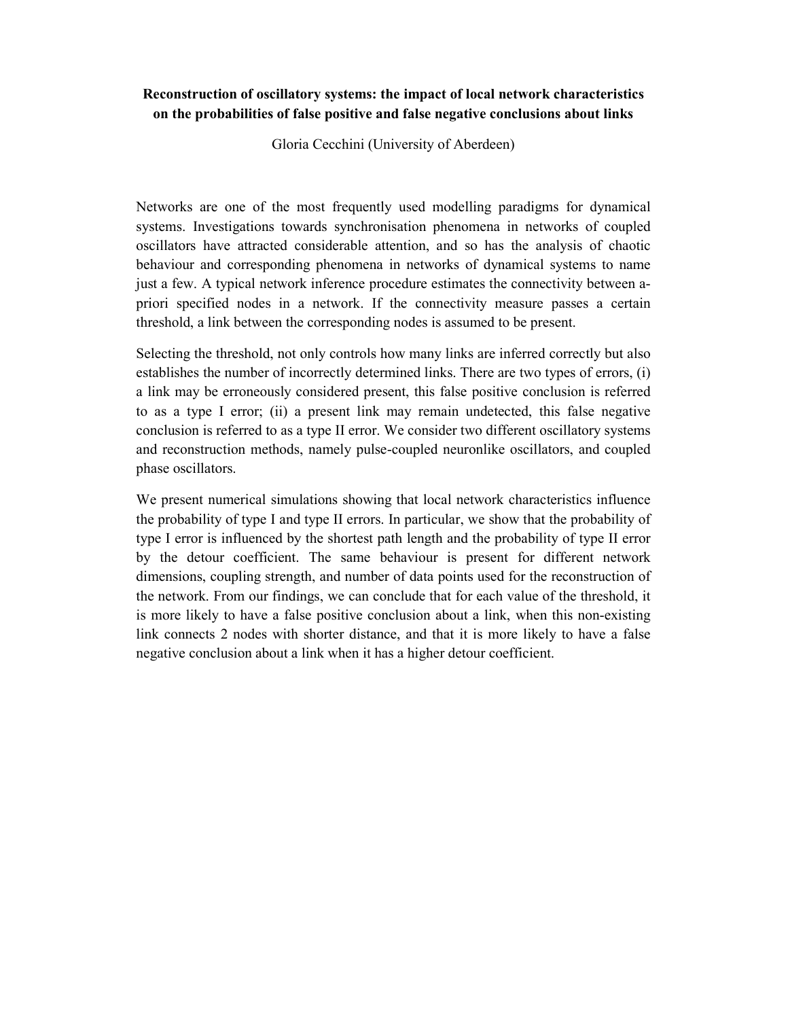# Reconstruction of oscillatory systems: the impact of local network characteristics on the probabilities of false positive and false negative conclusions about links

Gloria Cecchini (University of Aberdeen)

Networks are one of the most frequently used modelling paradigms for dynamical systems. Investigations towards synchronisation phenomena in networks of coupled oscillators have attracted considerable attention, and so has the analysis of chaotic behaviour and corresponding phenomena in networks of dynamical systems to name just a few. A typical network inference procedure estimates the connectivity between apriori specified nodes in a network. If the connectivity measure passes a certain threshold, a link between the corresponding nodes is assumed to be present.

Selecting the threshold, not only controls how many links are inferred correctly but also establishes the number of incorrectly determined links. There are two types of errors, (i) a link may be erroneously considered present, this false positive conclusion is referred to as a type I error; (ii) a present link may remain undetected, this false negative conclusion is referred to as a type II error. We consider two different oscillatory systems and reconstruction methods, namely pulse-coupled neuronlike oscillators, and coupled phase oscillators.

We present numerical simulations showing that local network characteristics influence the probability of type I and type II errors. In particular, we show that the probability of type I error is influenced by the shortest path length and the probability of type II error by the detour coefficient. The same behaviour is present for different network dimensions, coupling strength, and number of data points used for the reconstruction of the network. From our findings, we can conclude that for each value of the threshold, it is more likely to have a false positive conclusion about a link, when this non-existing link connects 2 nodes with shorter distance, and that it is more likely to have a false negative conclusion about a link when it has a higher detour coefficient.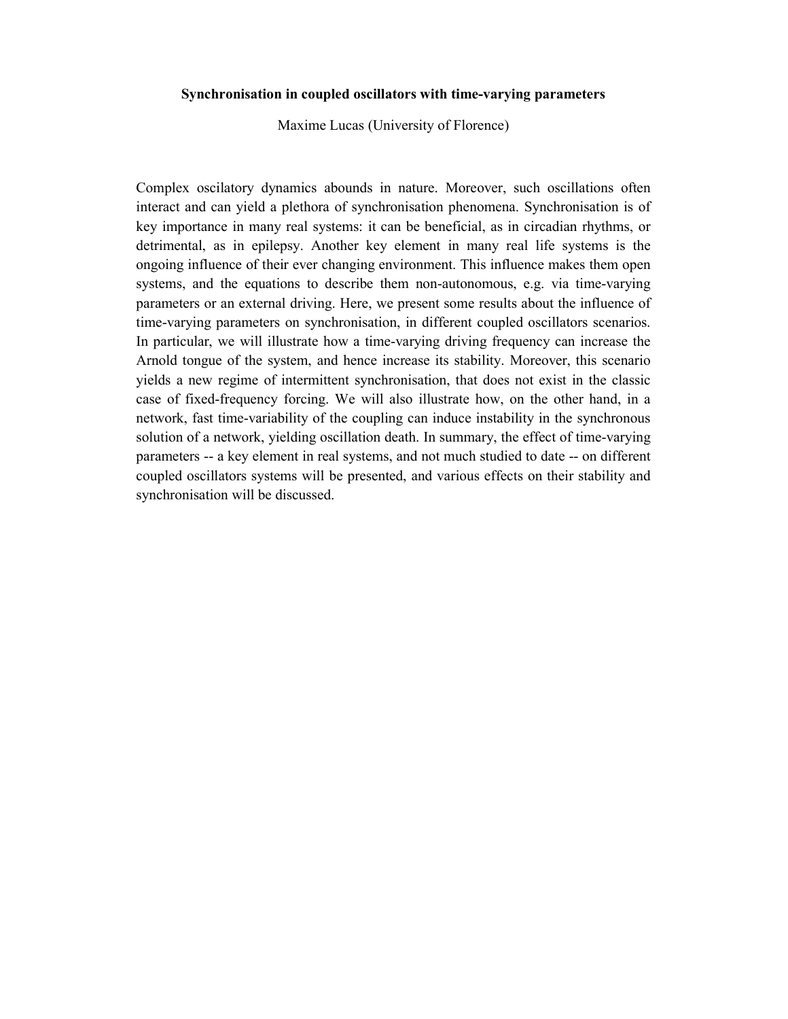### Synchronisation in coupled oscillators with time-varying parameters

Maxime Lucas (University of Florence)

Complex oscilatory dynamics abounds in nature. Moreover, such oscillations often interact and can yield a plethora of synchronisation phenomena. Synchronisation is of key importance in many real systems: it can be beneficial, as in circadian rhythms, or detrimental, as in epilepsy. Another key element in many real life systems is the ongoing influence of their ever changing environment. This influence makes them open systems, and the equations to describe them non-autonomous, e.g. via time-varying parameters or an external driving. Here, we present some results about the influence of time-varying parameters on synchronisation, in different coupled oscillators scenarios. In particular, we will illustrate how a time-varying driving frequency can increase the Arnold tongue of the system, and hence increase its stability. Moreover, this scenario yields a new regime of intermittent synchronisation, that does not exist in the classic case of fixed-frequency forcing. We will also illustrate how, on the other hand, in a network, fast time-variability of the coupling can induce instability in the synchronous solution of a network, yielding oscillation death. In summary, the effect of time-varying parameters -- a key element in real systems, and not much studied to date -- on different coupled oscillators systems will be presented, and various effects on their stability and synchronisation will be discussed.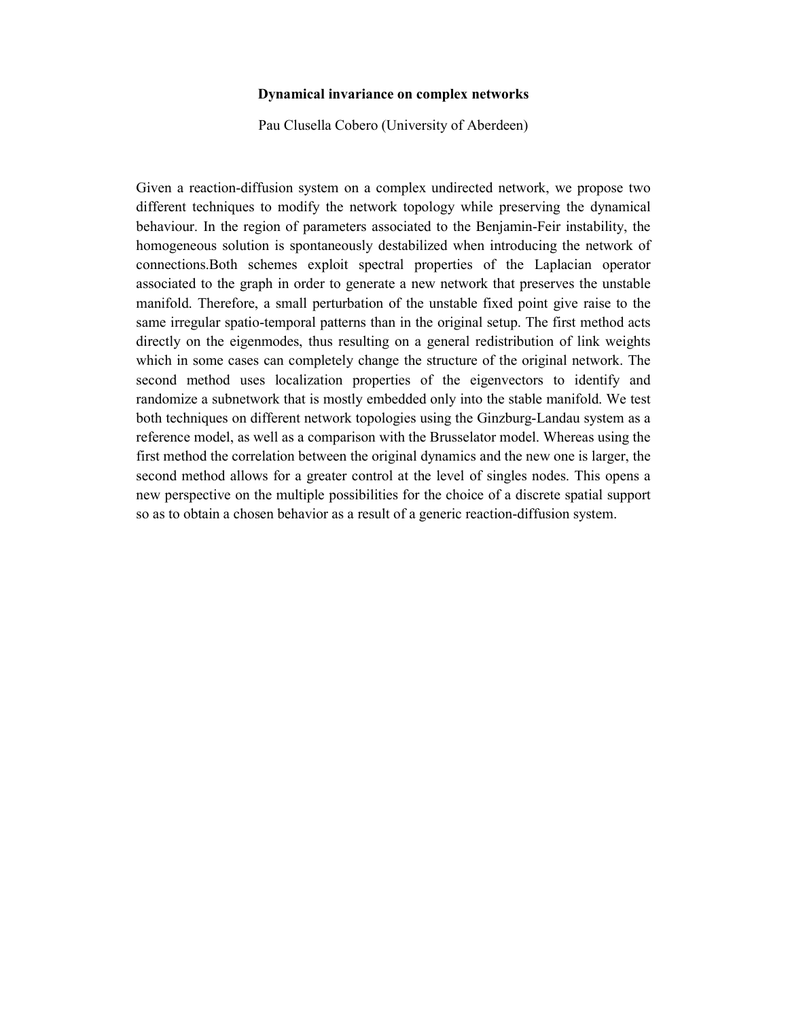### Dynamical invariance on complex networks

Pau Clusella Cobero (University of Aberdeen)

Given a reaction-diffusion system on a complex undirected network, we propose two different techniques to modify the network topology while preserving the dynamical behaviour. In the region of parameters associated to the Benjamin-Feir instability, the homogeneous solution is spontaneously destabilized when introducing the network of connections.Both schemes exploit spectral properties of the Laplacian operator associated to the graph in order to generate a new network that preserves the unstable manifold. Therefore, a small perturbation of the unstable fixed point give raise to the same irregular spatio-temporal patterns than in the original setup. The first method acts directly on the eigenmodes, thus resulting on a general redistribution of link weights which in some cases can completely change the structure of the original network. The second method uses localization properties of the eigenvectors to identify and randomize a subnetwork that is mostly embedded only into the stable manifold. We test both techniques on different network topologies using the Ginzburg-Landau system as a reference model, as well as a comparison with the Brusselator model. Whereas using the first method the correlation between the original dynamics and the new one is larger, the second method allows for a greater control at the level of singles nodes. This opens a new perspective on the multiple possibilities for the choice of a discrete spatial support so as to obtain a chosen behavior as a result of a generic reaction-diffusion system.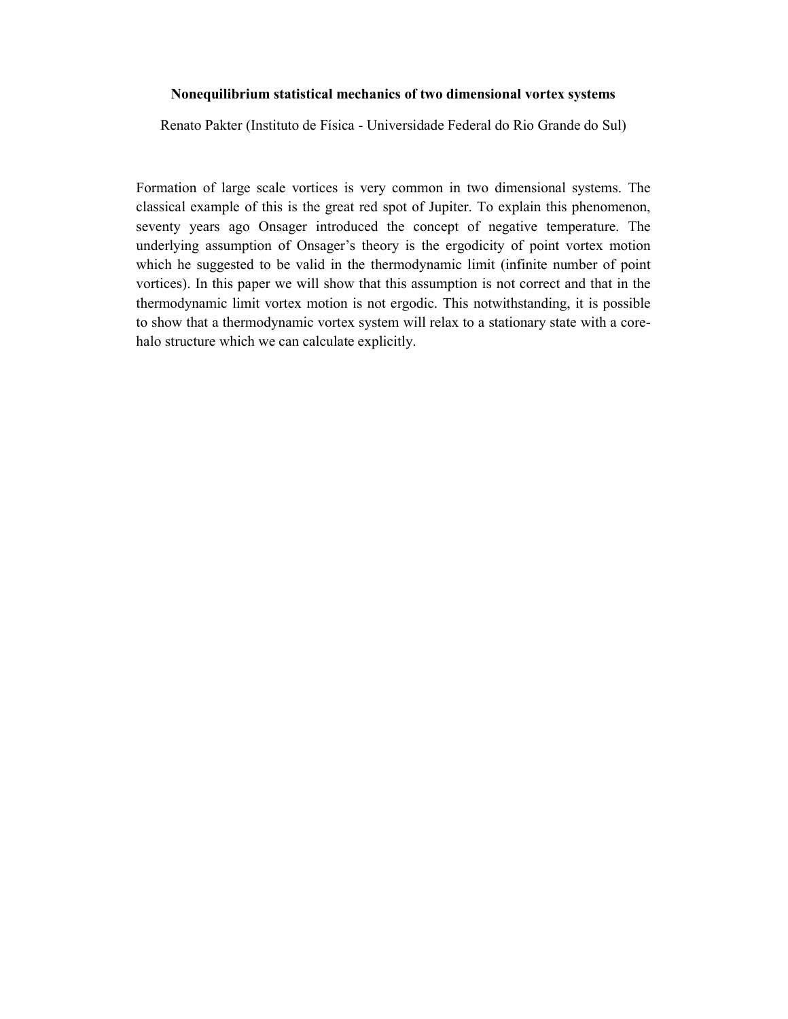### Nonequilibrium statistical mechanics of two dimensional vortex systems

Renato Pakter (Instituto de Física - Universidade Federal do Rio Grande do Sul)

Formation of large scale vortices is very common in two dimensional systems. The classical example of this is the great red spot of Jupiter. To explain this phenomenon, seventy years ago Onsager introduced the concept of negative temperature. The underlying assumption of Onsager's theory is the ergodicity of point vortex motion which he suggested to be valid in the thermodynamic limit (infinite number of point vortices). In this paper we will show that this assumption is not correct and that in the thermodynamic limit vortex motion is not ergodic. This notwithstanding, it is possible to show that a thermodynamic vortex system will relax to a stationary state with a corehalo structure which we can calculate explicitly.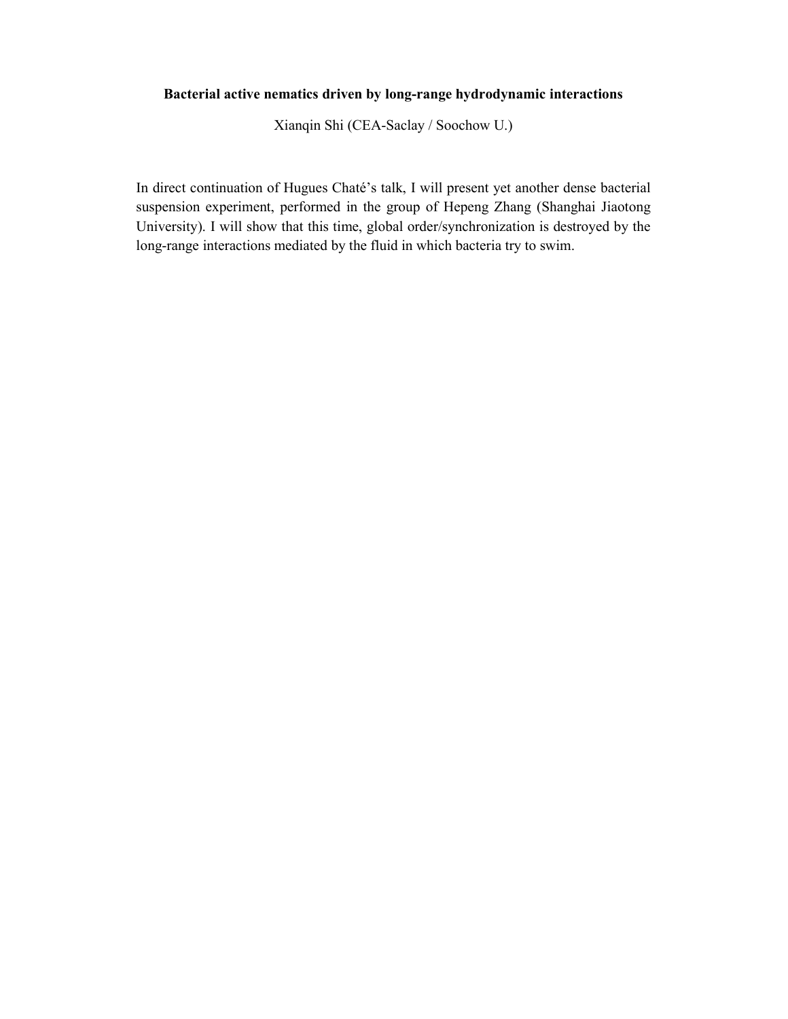# Bacterial active nematics driven by long-range hydrodynamic interactions

Xianqin Shi (CEA-Saclay / Soochow U.)

In direct continuation of Hugues Chaté's talk, I will present yet another dense bacterial suspension experiment, performed in the group of Hepeng Zhang (Shanghai Jiaotong University). I will show that this time, global order/synchronization is destroyed by the long-range interactions mediated by the fluid in which bacteria try to swim.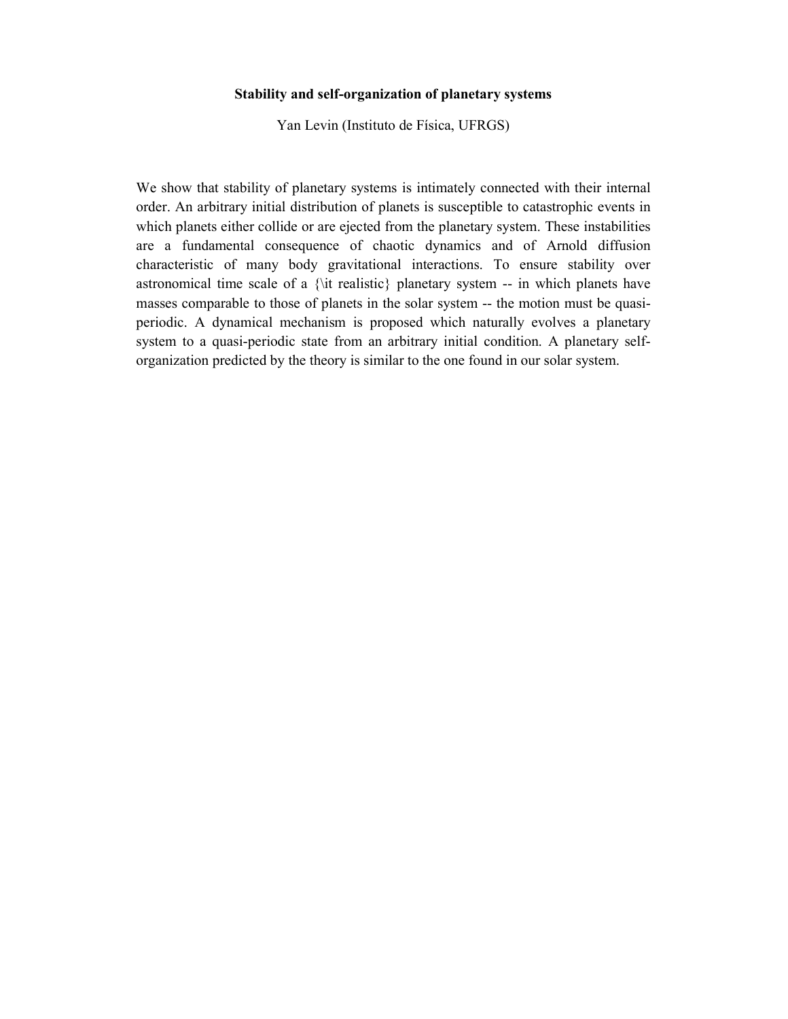### Stability and self-organization of planetary systems

Yan Levin (Instituto de Física, UFRGS)

We show that stability of planetary systems is intimately connected with their internal order. An arbitrary initial distribution of planets is susceptible to catastrophic events in which planets either collide or are ejected from the planetary system. These instabilities are a fundamental consequence of chaotic dynamics and of Arnold diffusion characteristic of many body gravitational interactions. To ensure stability over astronomical time scale of a {\it realistic} planetary system -- in which planets have masses comparable to those of planets in the solar system -- the motion must be quasiperiodic. A dynamical mechanism is proposed which naturally evolves a planetary system to a quasi-periodic state from an arbitrary initial condition. A planetary selforganization predicted by the theory is similar to the one found in our solar system.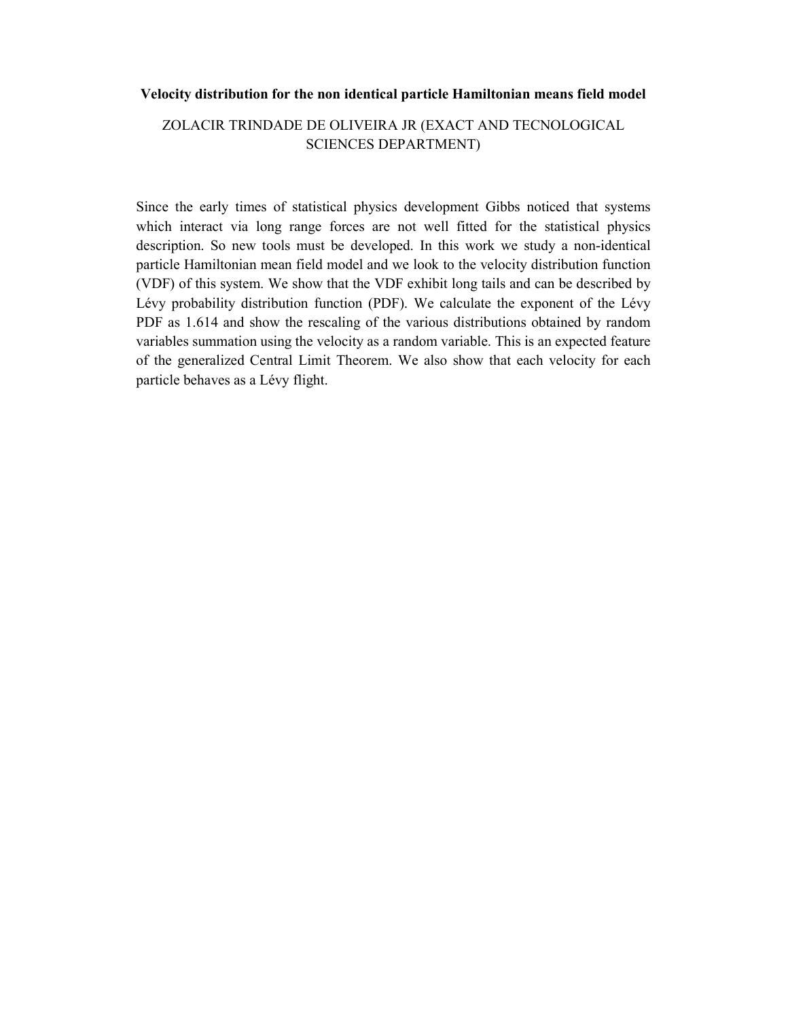### Velocity distribution for the non identical particle Hamiltonian means field model

# ZOLACIR TRINDADE DE OLIVEIRA JR (EXACT AND TECNOLOGICAL SCIENCES DEPARTMENT)

Since the early times of statistical physics development Gibbs noticed that systems which interact via long range forces are not well fitted for the statistical physics description. So new tools must be developed. In this work we study a non-identical particle Hamiltonian mean field model and we look to the velocity distribution function (VDF) of this system. We show that the VDF exhibit long tails and can be described by Lévy probability distribution function (PDF). We calculate the exponent of the Lévy PDF as 1.614 and show the rescaling of the various distributions obtained by random variables summation using the velocity as a random variable. This is an expected feature of the generalized Central Limit Theorem. We also show that each velocity for each particle behaves as a Lévy flight.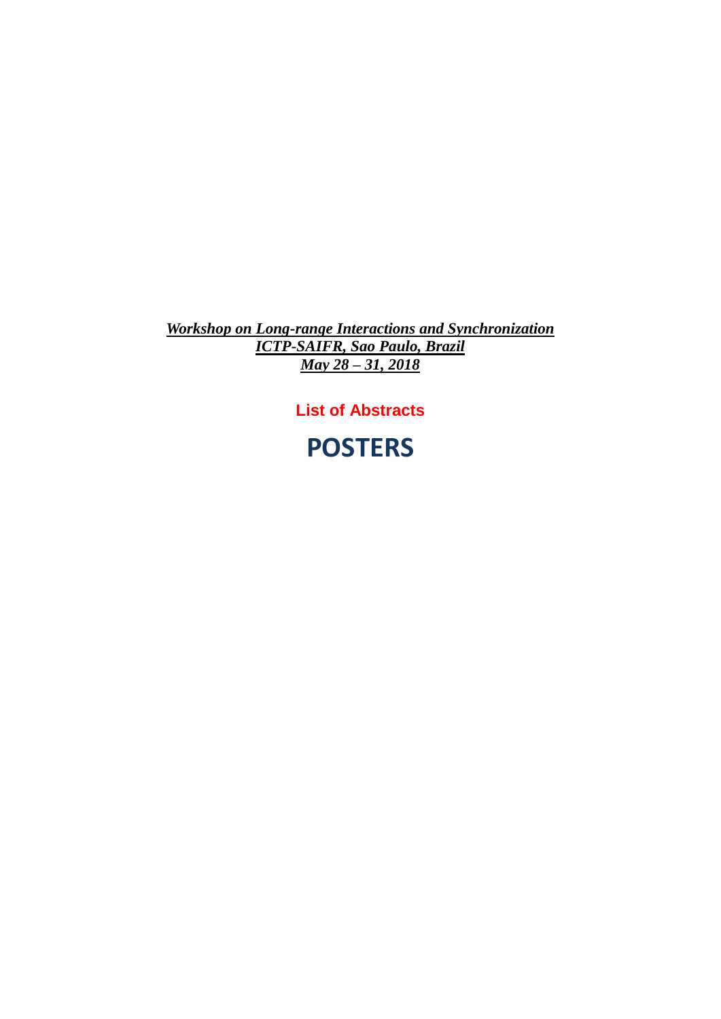*Workshop on Long-range Interactions and Synchronization ICTP-SAIFR, Sao Paulo, Brazil May 28 – 31, 2018*

**List of Abstracts**

**POSTERS**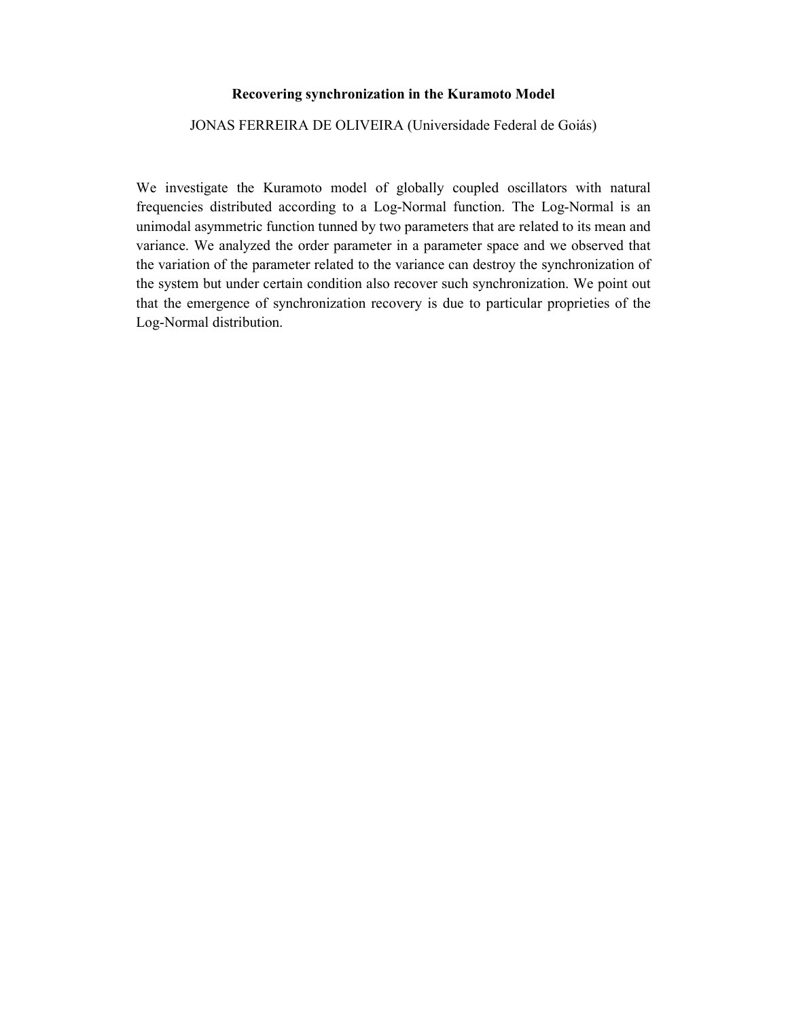### Recovering synchronization in the Kuramoto Model

JONAS FERREIRA DE OLIVEIRA (Universidade Federal de Goiás)

We investigate the Kuramoto model of globally coupled oscillators with natural frequencies distributed according to a Log-Normal function. The Log-Normal is an unimodal asymmetric function tunned by two parameters that are related to its mean and variance. We analyzed the order parameter in a parameter space and we observed that the variation of the parameter related to the variance can destroy the synchronization of the system but under certain condition also recover such synchronization. We point out that the emergence of synchronization recovery is due to particular proprieties of the Log-Normal distribution.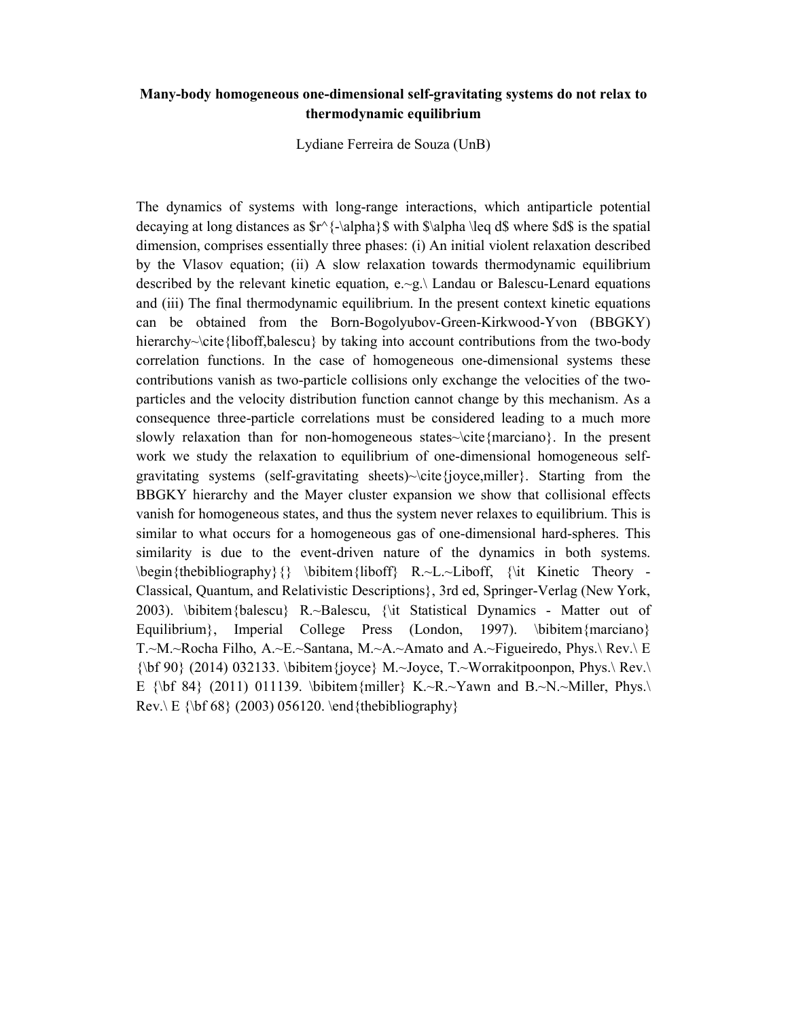## Many-body homogeneous one-dimensional self-gravitating systems do not relax to thermodynamic equilibrium

Lydiane Ferreira de Souza (UnB)

The dynamics of systems with long-range interactions, which antiparticle potential decaying at long distances as  $r^{\{-\alpha\}}\$  with  $\alpha \leq d\$  where  $d\$  is the spatial dimension, comprises essentially three phases: (i) An initial violent relaxation described by the Vlasov equation; (ii) A slow relaxation towards thermodynamic equilibrium described by the relevant kinetic equation, e.~g.\ Landau or Balescu-Lenard equations and (iii) The final thermodynamic equilibrium. In the present context kinetic equations can be obtained from the Born-Bogolyubov-Green-Kirkwood-Yvon (BBGKY) hierarchy~\cite{liboff,balescu} by taking into account contributions from the two-body correlation functions. In the case of homogeneous one-dimensional systems these contributions vanish as two-particle collisions only exchange the velocities of the twoparticles and the velocity distribution function cannot change by this mechanism. As a consequence three-particle correlations must be considered leading to a much more slowly relaxation than for non-homogeneous states~\cite{marciano}. In the present work we study the relaxation to equilibrium of one-dimensional homogeneous selfgravitating systems (self-gravitating sheets)~\cite{joyce,miller}. Starting from the BBGKY hierarchy and the Mayer cluster expansion we show that collisional effects vanish for homogeneous states, and thus the system never relaxes to equilibrium. This is similar to what occurs for a homogeneous gas of one-dimensional hard-spheres. This similarity is due to the event-driven nature of the dynamics in both systems.  $\begin{array}{c} {\bf \begin{array}{ccc} \hline \end{array}} \end{array}$  \bibitem{liboff} R.~L.~Liboff, {\it Kinetic Theory -Classical, Quantum, and Relativistic Descriptions}, 3rd ed, Springer-Verlag (New York, 2003). \bibitem{balescu} R.~Balescu, {\it Statistical Dynamics - Matter out of Equilibrium}, Imperial College Press (London, 1997). \bibitem{marciano} T.~M.~Rocha Filho, A.~E.~Santana, M.~A.~Amato and A.~Figueiredo, Phys.\ Rev.\ E  ${\bf 90}$  (2014) 032133. \bibitem {joyce} M.~Joyce, T.~Worrakitpoonpon, Phys.\ Rev.\ E {\bf 84} (2011) 011139. \bibitem{miller} K.~R.~Yawn and B.~N.~Miller, Phys.\  $Rev \ E \ \{ \bf bf \ 68 \} \ (2003) \ 056120. \end{the bibliography}$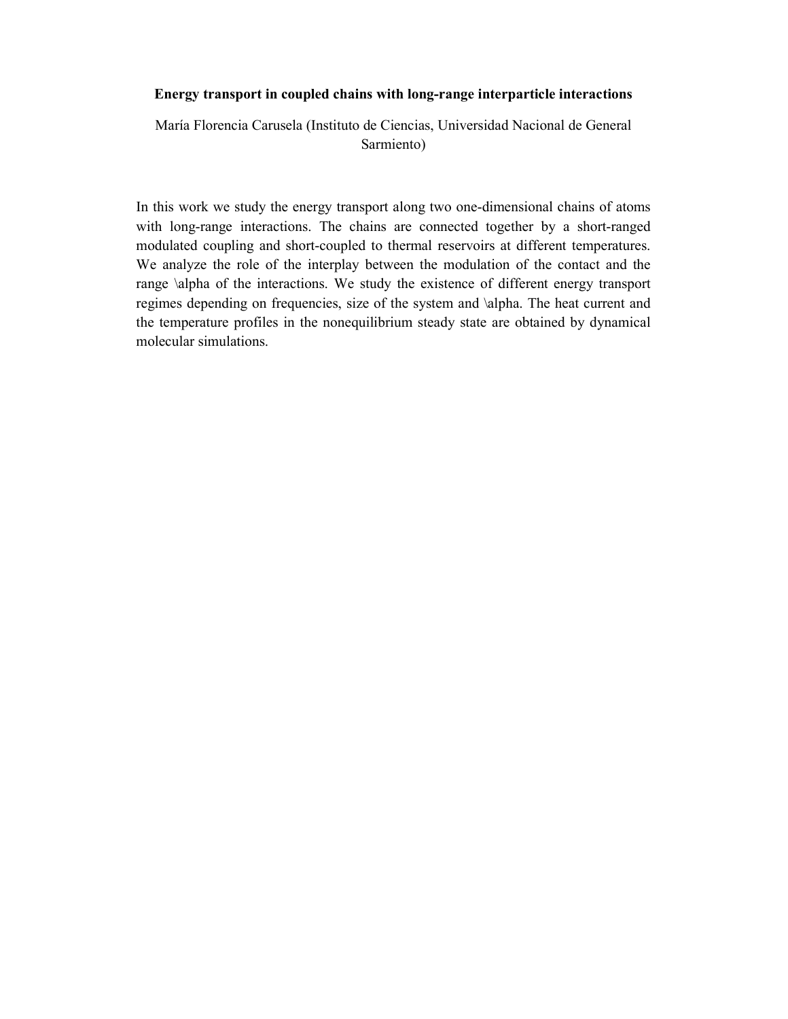### Energy transport in coupled chains with long-range interparticle interactions

María Florencia Carusela (Instituto de Ciencias, Universidad Nacional de General Sarmiento)

In this work we study the energy transport along two one-dimensional chains of atoms with long-range interactions. The chains are connected together by a short-ranged modulated coupling and short-coupled to thermal reservoirs at different temperatures. We analyze the role of the interplay between the modulation of the contact and the range \alpha of the interactions. We study the existence of different energy transport regimes depending on frequencies, size of the system and \alpha. The heat current and the temperature profiles in the nonequilibrium steady state are obtained by dynamical molecular simulations.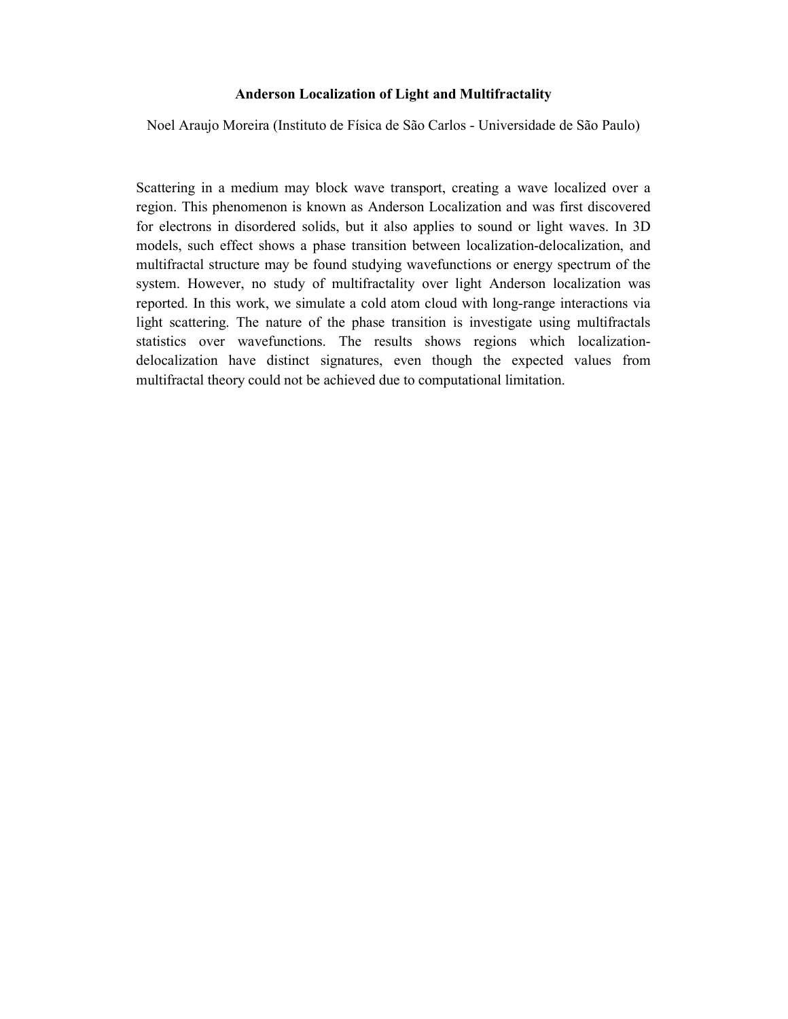### Anderson Localization of Light and Multifractality

Noel Araujo Moreira (Instituto de Física de São Carlos - Universidade de São Paulo)

Scattering in a medium may block wave transport, creating a wave localized over a region. This phenomenon is known as Anderson Localization and was first discovered for electrons in disordered solids, but it also applies to sound or light waves. In 3D models, such effect shows a phase transition between localization-delocalization, and multifractal structure may be found studying wavefunctions or energy spectrum of the system. However, no study of multifractality over light Anderson localization was reported. In this work, we simulate a cold atom cloud with long-range interactions via light scattering. The nature of the phase transition is investigate using multifractals statistics over wavefunctions. The results shows regions which localizationdelocalization have distinct signatures, even though the expected values from multifractal theory could not be achieved due to computational limitation.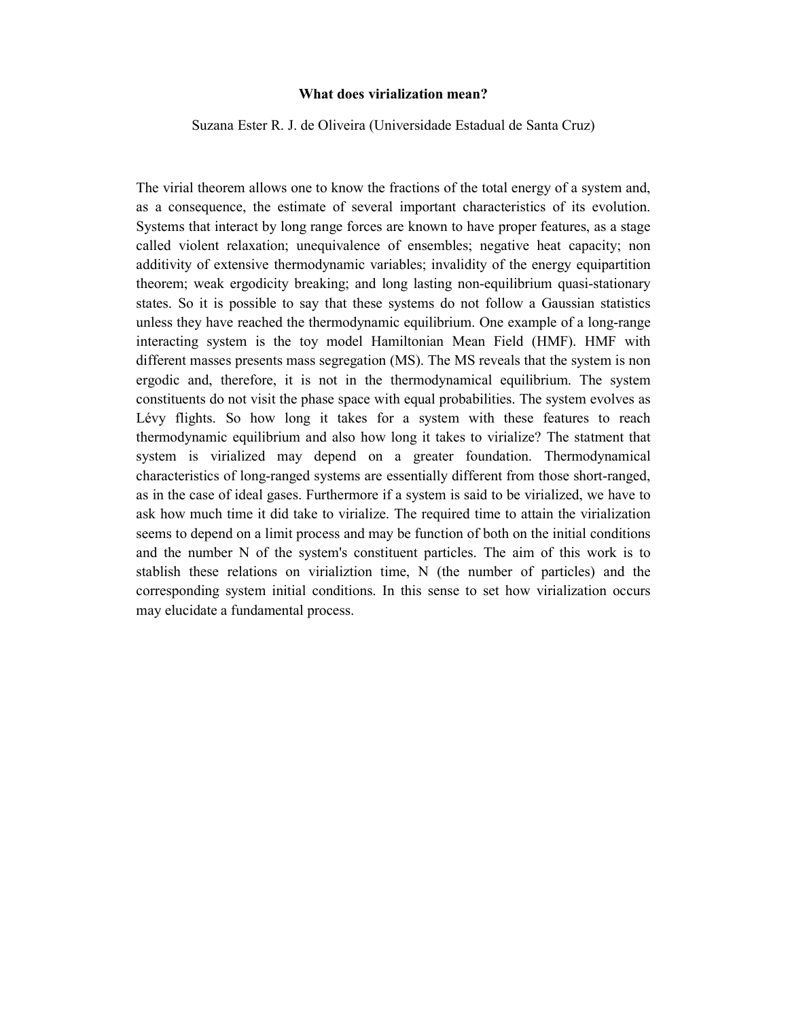### What does virialization mean?

Suzana Ester R. J. de Oliveira (Universidade Estadual de Santa Cruz)

The virial theorem allows one to know the fractions of the total energy of a system and, as a consequence, the estimate of several important characteristics of its evolution. Systems that interact by long range forces are known to have proper features, as a stage called violent relaxation; unequivalence of ensembles; negative heat capacity; non additivity of extensive thermodynamic variables; invalidity of the energy equipartition theorem; weak ergodicity breaking; and long lasting non-equilibrium quasi-stationary states. So it is possible to say that these systems do not follow a Gaussian statistics unless they have reached the thermodynamic equilibrium. One example of a long-range interacting system is the toy model Hamiltonian Mean Field (HMF). HMF with different masses presents mass segregation (MS). The MS reveals that the system is non ergodic and, therefore, it is not in the thermodynamical equilibrium. The system constituents do not visit the phase space with equal probabilities. The system evolves as Lévy flights. So how long it takes for a system with these features to reach thermodynamic equilibrium and also how long it takes to virialize? The statment that system is virialized may depend on a greater foundation. Thermodynamical characteristics of long-ranged systems are essentially different from those short-ranged, as in the case of ideal gases. Furthermore if a system is said to be virialized, we have to ask how much time it did take to virialize. The required time to attain the virialization seems to depend on a limit process and may be function of both on the initial conditions and the number N of the system's constituent particles. The aim of this work is to stablish these relations on virializtion time, N (the number of particles) and the corresponding system initial conditions. In this sense to set how virialization occurs may elucidate a fundamental process.